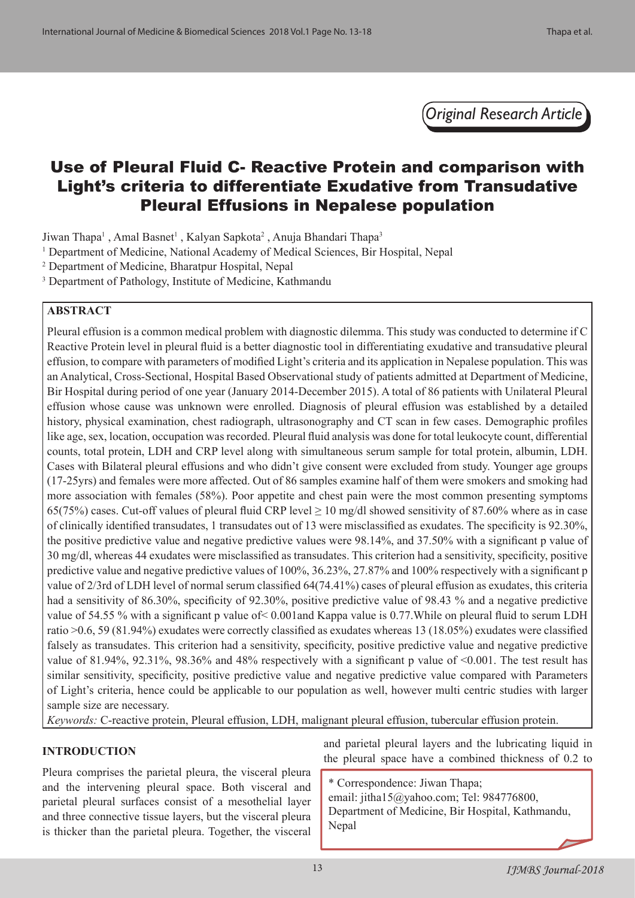*Original Research Article*

# Use of Pleural Fluid C- Reactive Protein and comparison with Light's criteria to differentiate Exudative from Transudative Pleural Effusions in Nepalese population

Jiwan Thapa<sup>1</sup>, Amal Basnet<sup>1</sup>, Kalyan Sapkota<sup>2</sup>, Anuja Bhandari Thapa<sup>3</sup>

- <sup>1</sup> Department of Medicine, National Academy of Medical Sciences, Bir Hospital, Nepal
- 2 Department of Medicine, Bharatpur Hospital, Nepal
- 3 Department of Pathology, Institute of Medicine, Kathmandu

#### **ABSTRACT**

Pleural effusion is a common medical problem with diagnostic dilemma. This study was conducted to determine if C Reactive Protein level in pleural fluid is a better diagnostic tool in differentiating exudative and transudative pleural effusion, to compare with parameters of modified Light's criteria and its application in Nepalese population. This was an Analytical, Cross-Sectional, Hospital Based Observational study of patients admitted at Department of Medicine, Bir Hospital during period of one year (January 2014-December 2015). A total of 86 patients with Unilateral Pleural effusion whose cause was unknown were enrolled. Diagnosis of pleural effusion was established by a detailed history, physical examination, chest radiograph, ultrasonography and CT scan in few cases. Demographic profiles like age, sex, location, occupation was recorded. Pleural fluid analysis was done for total leukocyte count, differential counts, total protein, LDH and CRP level along with simultaneous serum sample for total protein, albumin, LDH. Cases with Bilateral pleural effusions and who didn't give consent were excluded from study. Younger age groups (17-25yrs) and females were more affected. Out of 86 samples examine half of them were smokers and smoking had more association with females (58%). Poor appetite and chest pain were the most common presenting symptoms 65(75%) cases. Cut-off values of pleural fluid CRP level  $\geq 10$  mg/dl showed sensitivity of 87.60% where as in case of clinically identified transudates, 1 transudates out of 13 were misclassified as exudates. The specificity is 92.30%, the positive predictive value and negative predictive values were 98.14%, and 37.50% with a significant p value of 30 mg/dl, whereas 44 exudates were misclassified as transudates. This criterion had a sensitivity, specificity, positive predictive value and negative predictive values of 100%, 36.23%, 27.87% and 100% respectively with a significant p value of 2/3rd of LDH level of normal serum classified 64(74.41%) cases of pleural effusion as exudates, this criteria had a sensitivity of 86.30%, specificity of 92.30%, positive predictive value of 98.43 % and a negative predictive value of 54.55 % with a significant p value of< 0.001and Kappa value is 0.77.While on pleural fluid to serum LDH ratio >0.6, 59 (81.94%) exudates were correctly classified as exudates whereas 13 (18.05%) exudates were classified falsely as transudates. This criterion had a sensitivity, specificity, positive predictive value and negative predictive value of 81.94%, 92.31%, 98.36% and 48% respectively with a significant p value of <0.001. The test result has similar sensitivity, specificity, positive predictive value and negative predictive value compared with Parameters of Light's criteria, hence could be applicable to our population as well, however multi centric studies with larger sample size are necessary.

*Keywords:* C-reactive protein, Pleural effusion, LDH, malignant pleural effusion, tubercular effusion protein.

## **INTRODUCTION**

Pleura comprises the parietal pleura, the visceral pleura and the intervening pleural space. Both visceral and parietal pleural surfaces consist of a mesothelial layer and three connective tissue layers, but the visceral pleura is thicker than the parietal pleura. Together, the visceral

and parietal pleural layers and the lubricating liquid in the pleural space have a combined thickness of 0.2 to

\* Correspondence: Jiwan Thapa;

email: jitha15@yahoo.com; Tel: 984776800, Department of Medicine, Bir Hospital, Kathmandu, Nepal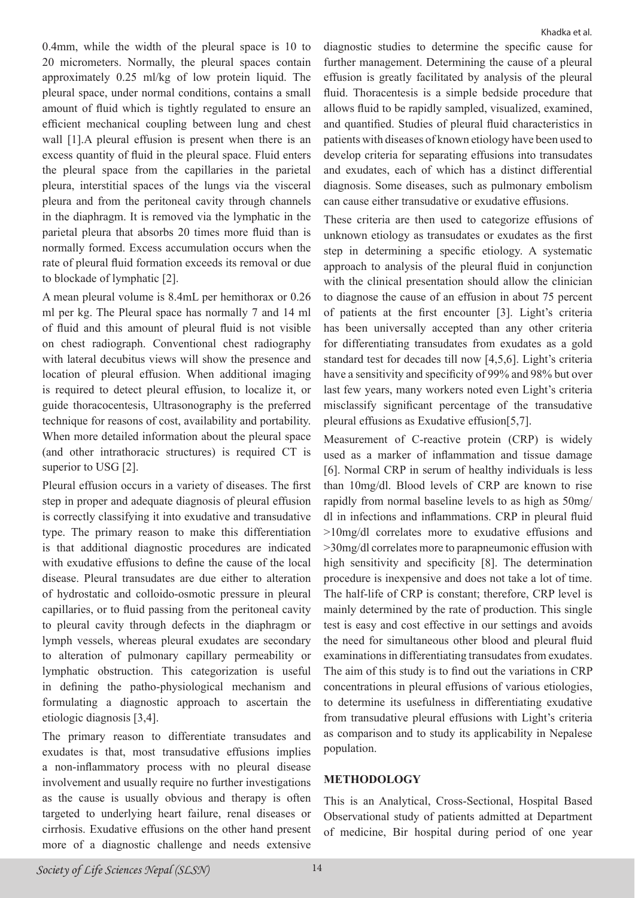0.4mm, while the width of the pleural space is 10 to 20 micrometers. Normally, the pleural spaces contain approximately 0.25 ml/kg of low protein liquid. The pleural space, under normal conditions, contains a small amount of fluid which is tightly regulated to ensure an efficient mechanical coupling between lung and chest wall [1].A pleural effusion is present when there is an excess quantity of fluid in the pleural space. Fluid enters the pleural space from the capillaries in the parietal pleura, interstitial spaces of the lungs via the visceral pleura and from the peritoneal cavity through channels in the diaphragm. It is removed via the lymphatic in the parietal pleura that absorbs 20 times more fluid than is normally formed. Excess accumulation occurs when the rate of pleural fluid formation exceeds its removal or due to blockade of lymphatic [2].

A mean pleural volume is 8.4mL per hemithorax or 0.26 ml per kg. The Pleural space has normally 7 and 14 ml of fluid and this amount of pleural fluid is not visible on chest radiograph. Conventional chest radiography with lateral decubitus views will show the presence and location of pleural effusion. When additional imaging is required to detect pleural effusion, to localize it, or guide thoracocentesis, Ultrasonography is the preferred technique for reasons of cost, availability and portability. When more detailed information about the pleural space (and other intrathoracic structures) is required CT is superior to USG [2].

Pleural effusion occurs in a variety of diseases. The first step in proper and adequate diagnosis of pleural effusion is correctly classifying it into exudative and transudative type. The primary reason to make this differentiation is that additional diagnostic procedures are indicated with exudative effusions to define the cause of the local disease. Pleural transudates are due either to alteration of hydrostatic and colloido-osmotic pressure in pleural capillaries, or to fluid passing from the peritoneal cavity to pleural cavity through defects in the diaphragm or lymph vessels, whereas pleural exudates are secondary to alteration of pulmonary capillary permeability or lymphatic obstruction. This categorization is useful in defining the patho-physiological mechanism and formulating a diagnostic approach to ascertain the etiologic diagnosis [3,4].

The primary reason to differentiate transudates and exudates is that, most transudative effusions implies a non-inflammatory process with no pleural disease involvement and usually require no further investigations as the cause is usually obvious and therapy is often targeted to underlying heart failure, renal diseases or cirrhosis. Exudative effusions on the other hand present more of a diagnostic challenge and needs extensive diagnostic studies to determine the specific cause for further management. Determining the cause of a pleural effusion is greatly facilitated by analysis of the pleural fluid. Thoracentesis is a simple bedside procedure that allows fluid to be rapidly sampled, visualized, examined, and quantified. Studies of pleural fluid characteristics in patients with diseases of known etiology have been used to develop criteria for separating effusions into transudates and exudates, each of which has a distinct differential diagnosis. Some diseases, such as pulmonary embolism can cause either transudative or exudative effusions.

These criteria are then used to categorize effusions of unknown etiology as transudates or exudates as the first step in determining a specific etiology. A systematic approach to analysis of the pleural fluid in conjunction with the clinical presentation should allow the clinician to diagnose the cause of an effusion in about 75 percent of patients at the first encounter [3]. Light's criteria has been universally accepted than any other criteria for differentiating transudates from exudates as a gold standard test for decades till now [4,5,6]. Light's criteria have a sensitivity and specificity of 99% and 98% but over last few years, many workers noted even Light's criteria misclassify significant percentage of the transudative pleural effusions as Exudative effusion[5,7].

Measurement of C-reactive protein (CRP) is widely used as a marker of inflammation and tissue damage [6]. Normal CRP in serum of healthy individuals is less than 10mg/dl. Blood levels of CRP are known to rise rapidly from normal baseline levels to as high as 50mg/ dl in infections and inflammations. CRP in pleural fluid >10mg/dl correlates more to exudative effusions and >30mg/dl correlates more to parapneumonic effusion with high sensitivity and specificity [8]. The determination procedure is inexpensive and does not take a lot of time. The half-life of CRP is constant; therefore, CRP level is mainly determined by the rate of production. This single test is easy and cost effective in our settings and avoids the need for simultaneous other blood and pleural fluid examinations in differentiating transudates from exudates. The aim of this study is to find out the variations in CRP concentrations in pleural effusions of various etiologies, to determine its usefulness in differentiating exudative from transudative pleural effusions with Light's criteria as comparison and to study its applicability in Nepalese population.

#### **METHODOLOGY**

This is an Analytical, Cross-Sectional, Hospital Based Observational study of patients admitted at Department of medicine, Bir hospital during period of one year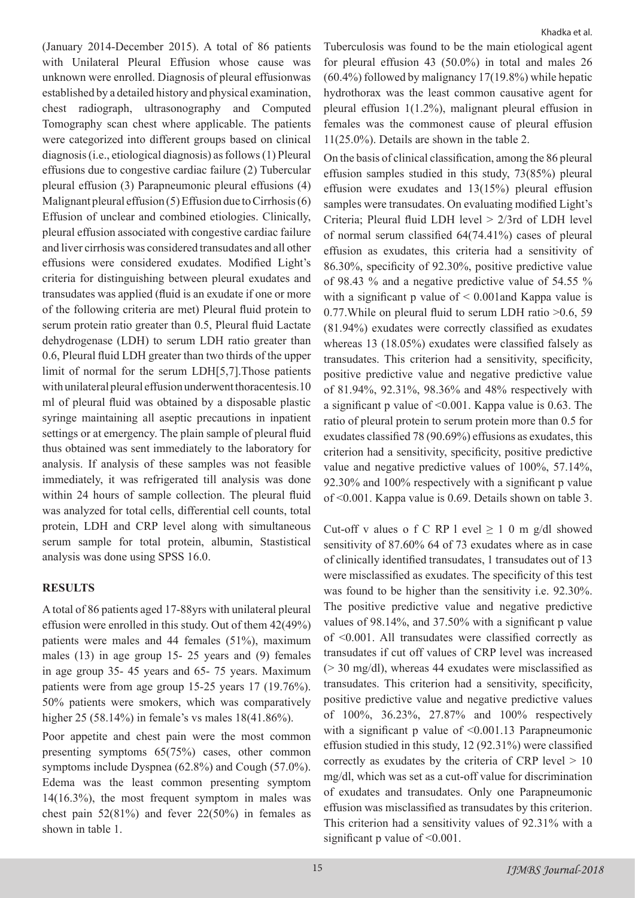(January 2014-December 2015). A total of 86 patients with Unilateral Pleural Effusion whose cause was unknown were enrolled. Diagnosis of pleural effusionwas established by a detailed history and physical examination, chest radiograph, ultrasonography and Computed Tomography scan chest where applicable. The patients were categorized into different groups based on clinical diagnosis (i.e., etiological diagnosis) as follows (1) Pleural effusions due to congestive cardiac failure (2) Tubercular pleural effusion (3) Parapneumonic pleural effusions (4) Malignant pleural effusion (5) Effusion due to Cirrhosis (6) Effusion of unclear and combined etiologies. Clinically, pleural effusion associated with congestive cardiac failure and liver cirrhosis was considered transudates and all other effusions were considered exudates. Modified Light's criteria for distinguishing between pleural exudates and transudates was applied (fluid is an exudate if one or more of the following criteria are met) Pleural fluid protein to serum protein ratio greater than 0.5, Pleural fluid Lactate dehydrogenase (LDH) to serum LDH ratio greater than 0.6, Pleural fluid LDH greater than two thirds of the upper limit of normal for the serum LDH[5,7].Those patients with unilateral pleural effusion underwent thoracentesis.10 ml of pleural fluid was obtained by a disposable plastic syringe maintaining all aseptic precautions in inpatient settings or at emergency. The plain sample of pleural fluid thus obtained was sent immediately to the laboratory for analysis. If analysis of these samples was not feasible immediately, it was refrigerated till analysis was done within 24 hours of sample collection. The pleural fluid was analyzed for total cells, differential cell counts, total protein, LDH and CRP level along with simultaneous serum sample for total protein, albumin, Stastistical analysis was done using SPSS 16.0.

#### **RESULTS**

A total of 86 patients aged 17-88yrs with unilateral pleural effusion were enrolled in this study. Out of them 42(49%) patients were males and 44 females (51%), maximum males (13) in age group 15- 25 years and (9) females in age group 35- 45 years and 65- 75 years. Maximum patients were from age group 15-25 years 17 (19.76%). 50% patients were smokers, which was comparatively higher 25 (58.14%) in female's vs males 18(41.86%).

Poor appetite and chest pain were the most common presenting symptoms 65(75%) cases, other common symptoms include Dyspnea (62.8%) and Cough (57.0%). Edema was the least common presenting symptom 14(16.3%), the most frequent symptom in males was chest pain  $52(81%)$  and fever  $22(50%)$  in females as shown in table 1.

Tuberculosis was found to be the main etiological agent for pleural effusion 43 (50.0%) in total and males 26 (60.4%) followed by malignancy 17(19.8%) while hepatic hydrothorax was the least common causative agent for pleural effusion 1(1.2%), malignant pleural effusion in females was the commonest cause of pleural effusion 11(25.0%). Details are shown in the table 2.

On the basis of clinical classification, among the 86 pleural effusion samples studied in this study, 73(85%) pleural effusion were exudates and 13(15%) pleural effusion samples were transudates. On evaluating modified Light's Criteria; Pleural fluid LDH level > 2/3rd of LDH level of normal serum classified 64(74.41%) cases of pleural effusion as exudates, this criteria had a sensitivity of 86.30%, specificity of 92.30%, positive predictive value of 98.43 % and a negative predictive value of 54.55 % with a significant p value of  $\leq 0.001$  and Kappa value is 0.77.While on pleural fluid to serum LDH ratio >0.6, 59 (81.94%) exudates were correctly classified as exudates whereas 13 (18.05%) exudates were classified falsely as transudates. This criterion had a sensitivity, specificity, positive predictive value and negative predictive value of 81.94%, 92.31%, 98.36% and 48% respectively with a significant p value of <0.001. Kappa value is 0.63. The ratio of pleural protein to serum protein more than 0.5 for exudates classified 78 (90.69%) effusions as exudates, this criterion had a sensitivity, specificity, positive predictive value and negative predictive values of 100%, 57.14%, 92.30% and 100% respectively with a significant p value of <0.001. Kappa value is 0.69. Details shown on table 3.

Cut-off v alues o f C RP l evel  $\geq 1$  0 m g/dl showed sensitivity of 87.60% 64 of 73 exudates where as in case of clinically identified transudates, 1 transudates out of 13 were misclassified as exudates. The specificity of this test was found to be higher than the sensitivity i.e. 92.30%. The positive predictive value and negative predictive values of 98.14%, and 37.50% with a significant p value of <0.001. All transudates were classified correctly as transudates if cut off values of CRP level was increased (> 30 mg/dl), whereas 44 exudates were misclassified as transudates. This criterion had a sensitivity, specificity, positive predictive value and negative predictive values of 100%, 36.23%, 27.87% and 100% respectively with a significant p value of  $\leq 0.001.13$  Parapneumonic effusion studied in this study, 12 (92.31%) were classified correctly as exudates by the criteria of CRP level  $> 10$ mg/dl, which was set as a cut-off value for discrimination of exudates and transudates. Only one Parapneumonic effusion was misclassified as transudates by this criterion. This criterion had a sensitivity values of 92.31% with a significant p value of  $\leq 0.001$ .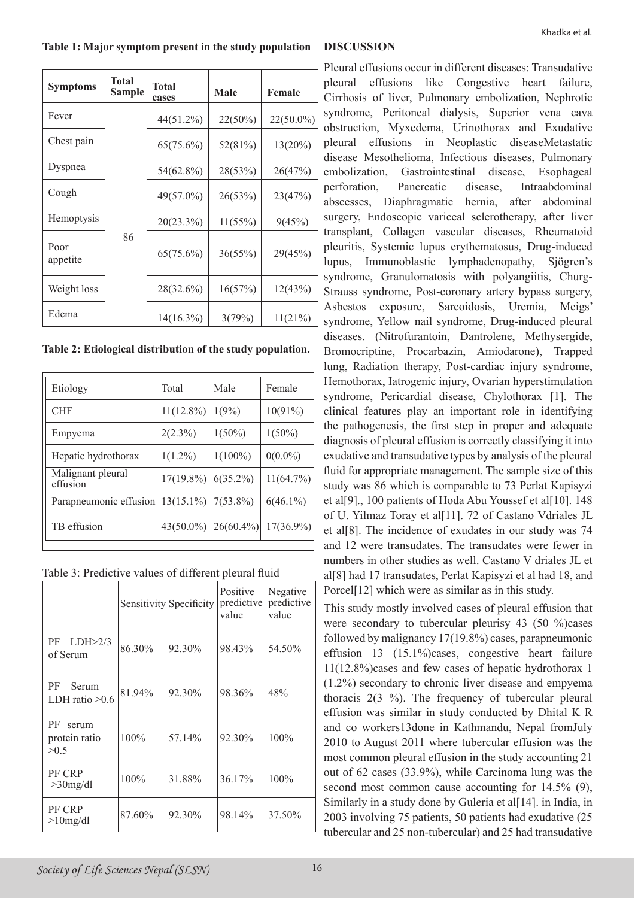#### **Table 1: Major symptom present in the study population DISCUSSION**

| <b>Symptoms</b>  | Total<br>Sample | <b>Total</b><br>cases | <b>Male</b> | <b>Female</b> |
|------------------|-----------------|-----------------------|-------------|---------------|
| Fever            |                 | $44(51.2\%)$          | $22(50\%)$  | 22(50.0%)     |
| Chest pain       |                 | $65(75.6\%)$          | 52(81%)     | $13(20\%)$    |
| Dyspnea          |                 | 54(62.8%)             | 28(53%)     | 26(47%)       |
| Cough            | 86              | 49(57.0%)             | 26(53%)     | 23(47%)       |
| Hemoptysis       |                 | 20(23.3%)             | 11(55%)     | 9(45%)        |
| Poor<br>appetite |                 | 65(75.6%)             | 36(55%)     | 29(45%)       |
| Weight loss      |                 | 28(32.6%)             | 16(57%)     | 12(43%)       |
| Edema            |                 | $14(16.3\%)$          | 3(79%)      | 11(21%)       |

**Table 2: Etiological distribution of the study population.**

| Etiology                      | Total        | Male         | Female       |  |  |
|-------------------------------|--------------|--------------|--------------|--|--|
| <b>CHF</b>                    | $11(12.8\%)$ | 1(9%)        | $10(91\%)$   |  |  |
| Empyema                       | $2(2.3\%)$   | $1(50\%)$    | $1(50\%)$    |  |  |
| Hepatic hydrothorax           | $1(1.2\%)$   | $1(100\%)$   | $0(0.0\%)$   |  |  |
| Malignant pleural<br>effusion | $17(19.8\%)$ | $6(35.2\%)$  | $11(64.7\%)$ |  |  |
| Parapneumonic effusion        | $13(15.1\%)$ | $7(53.8\%)$  | $6(46.1\%)$  |  |  |
| TB effusion                   | $43(50.0\%)$ | $26(60.4\%)$ | $17(36.9\%)$ |  |  |
|                               |              |              |              |  |  |

Table 3: Predictive values of different pleural fluid

|                                      |        | Sensitivity Specificity | Positive<br>predictive<br>value | Negative<br>predictive<br>value |
|--------------------------------------|--------|-------------------------|---------------------------------|---------------------------------|
| LDH>2/3<br>PF<br>of Serum            | 86.30% | 92.30%                  | 98.43%                          | 54.50%                          |
| PF<br>Serum<br>LDH ratio $>0.6$      | 81.94% | 92.30%                  | 98.36%                          | 48%                             |
| РF<br>serum<br>protein ratio<br>>0.5 | 100%   | 57.14%                  | 92.30%                          | 100%                            |
| PF CRP<br>$>30$ mg/dl                | 100%   | 31.88%                  | 36.17%                          | 100%                            |
| PF CRP<br>$>10$ mg/dl                | 87.60% | 92.30%                  | 98.14%                          | 37.50%                          |

Pleural effusions occur in different diseases: Transudative pleural effusions like Congestive heart failure, Cirrhosis of liver, Pulmonary embolization, Nephrotic syndrome, Peritoneal dialysis, Superior vena cava obstruction, Myxedema, Urinothorax and Exudative pleural effusions in Neoplastic diseaseMetastatic disease Mesothelioma, Infectious diseases, Pulmonary embolization, Gastrointestinal disease, Esophageal perforation, Pancreatic disease, Intraabdominal abscesses, Diaphragmatic hernia, after abdominal surgery, Endoscopic variceal sclerotherapy, after liver transplant, Collagen vascular diseases, Rheumatoid pleuritis, Systemic lupus erythematosus, Drug-induced lupus, Immunoblastic lymphadenopathy, Sjögren's syndrome, Granulomatosis with polyangiitis, Churg-Strauss syndrome, Post-coronary artery bypass surgery, Asbestos exposure, Sarcoidosis, Uremia, Meigs' syndrome, Yellow nail syndrome, Drug-induced pleural diseases. (Nitrofurantoin, Dantrolene, Methysergide, Bromocriptine, Procarbazin, Amiodarone), Trapped lung, Radiation therapy, Post-cardiac injury syndrome, Hemothorax, Iatrogenic injury, Ovarian hyperstimulation syndrome, Pericardial disease, Chylothorax [1]. The clinical features play an important role in identifying the pathogenesis, the first step in proper and adequate diagnosis of pleural effusion is correctly classifying it into exudative and transudative types by analysis of the pleural fluid for appropriate management. The sample size of this study was 86 which is comparable to 73 Perlat Kapisyzi et al<sup>[9]</sup>., 100 patients of Hoda Abu Youssef et al<sup>[10]</sup>. 148 of U. Yilmaz Toray et al[11]. 72 of Castano Vdriales JL et al[8]. The incidence of exudates in our study was 74 and 12 were transudates. The transudates were fewer in numbers in other studies as well. Castano V driales JL et al[8] had 17 transudates, Perlat Kapisyzi et al had 18, and Porcel<sup>[12]</sup> which were as similar as in this study.

This study mostly involved cases of pleural effusion that were secondary to tubercular pleurisy 43 (50 %)cases followed by malignancy 17(19.8%) cases, parapneumonic effusion 13 (15.1%)cases, congestive heart failure 11(12.8%)cases and few cases of hepatic hydrothorax 1 (1.2%) secondary to chronic liver disease and empyema thoracis 2(3 %). The frequency of tubercular pleural effusion was similar in study conducted by Dhital K R and co workers13done in Kathmandu, Nepal fromJuly 2010 to August 2011 where tubercular effusion was the most common pleural effusion in the study accounting 21 out of 62 cases (33.9%), while Carcinoma lung was the second most common cause accounting for 14.5% (9), Similarly in a study done by Guleria et al<sup>[14]</sup>. in India, in 2003 involving 75 patients, 50 patients had exudative (25 tubercular and 25 non-tubercular) and 25 had transudative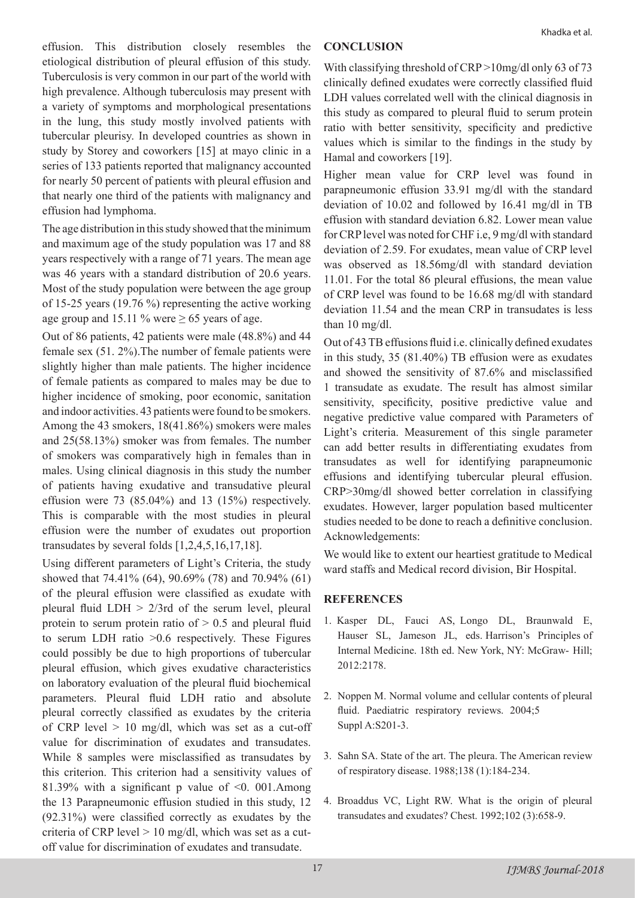effusion. This distribution closely resembles the etiological distribution of pleural effusion of this study. Tuberculosis is very common in our part of the world with high prevalence. Although tuberculosis may present with a variety of symptoms and morphological presentations in the lung, this study mostly involved patients with tubercular pleurisy. In developed countries as shown in study by Storey and coworkers [15] at mayo clinic in a series of 133 patients reported that malignancy accounted for nearly 50 percent of patients with pleural effusion and that nearly one third of the patients with malignancy and effusion had lymphoma.

The age distribution in this study showed that the minimum and maximum age of the study population was 17 and 88 years respectively with a range of 71 years. The mean age was 46 years with a standard distribution of 20.6 years. Most of the study population were between the age group of 15-25 years (19.76 %) representing the active working age group and 15.11 % were  $\geq$  65 years of age.

Out of 86 patients, 42 patients were male (48.8%) and 44 female sex (51. 2%).The number of female patients were slightly higher than male patients. The higher incidence of female patients as compared to males may be due to higher incidence of smoking, poor economic, sanitation and indoor activities. 43 patients were found to be smokers. Among the 43 smokers, 18(41.86%) smokers were males and 25(58.13%) smoker was from females. The number of smokers was comparatively high in females than in males. Using clinical diagnosis in this study the number of patients having exudative and transudative pleural effusion were  $73$   $(85.04\%)$  and  $13$   $(15\%)$  respectively. This is comparable with the most studies in pleural effusion were the number of exudates out proportion transudates by several folds [1,2,4,5,16,17,18].

Using different parameters of Light's Criteria, the study showed that 74.41% (64), 90.69% (78) and 70.94% (61) of the pleural effusion were classified as exudate with pleural fluid LDH  $> 2/3$ rd of the serum level, pleural protein to serum protein ratio of  $> 0.5$  and pleural fluid to serum LDH ratio >0.6 respectively. These Figures could possibly be due to high proportions of tubercular pleural effusion, which gives exudative characteristics on laboratory evaluation of the pleural fluid biochemical parameters. Pleural fluid LDH ratio and absolute pleural correctly classified as exudates by the criteria of CRP level  $> 10$  mg/dl, which was set as a cut-off value for discrimination of exudates and transudates. While 8 samples were misclassified as transudates by this criterion. This criterion had a sensitivity values of 81.39% with a significant p value of  $\leq 0$ . 001.Among the 13 Parapneumonic effusion studied in this study, 12 (92.31%) were classified correctly as exudates by the criteria of CRP level  $> 10$  mg/dl, which was set as a cutoff value for discrimination of exudates and transudate.

#### **CONCLUSION**

With classifying threshold of CRP >10mg/dl only 63 of 73 clinically defined exudates were correctly classified fluid LDH values correlated well with the clinical diagnosis in this study as compared to pleural fluid to serum protein ratio with better sensitivity, specificity and predictive values which is similar to the findings in the study by Hamal and coworkers [19].

Higher mean value for CRP level was found in parapneumonic effusion 33.91 mg/dl with the standard deviation of 10.02 and followed by 16.41 mg/dl in TB effusion with standard deviation 6.82. Lower mean value for CRP level was noted for CHF i.e, 9 mg/dl with standard deviation of 2.59. For exudates, mean value of CRP level was observed as 18.56mg/dl with standard deviation 11.01. For the total 86 pleural effusions, the mean value of CRP level was found to be 16.68 mg/dl with standard deviation 11.54 and the mean CRP in transudates is less than 10 mg/dl.

Out of 43 TB effusions fluid i.e. clinically defined exudates in this study, 35 (81.40%) TB effusion were as exudates and showed the sensitivity of 87.6% and misclassified 1 transudate as exudate. The result has almost similar sensitivity, specificity, positive predictive value and negative predictive value compared with Parameters of Light's criteria. Measurement of this single parameter can add better results in differentiating exudates from transudates as well for identifying parapneumonic effusions and identifying tubercular pleural effusion. CRP>30mg/dl showed better correlation in classifying exudates. However, larger population based multicenter studies needed to be done to reach a definitive conclusion. Acknowledgements:

We would like to extent our heartiest gratitude to Medical ward staffs and Medical record division, Bir Hospital.

## **REFERENCES**

- 1. Kasper DL, Fauci AS, Longo DL, Braunwald E, Hauser SL, Jameson JL, eds. Harrison's Principles of Internal Medicine. 18th ed. New York, NY: McGraw- Hill; 2012:2178.
- 2. Noppen M. Normal volume and cellular contents of pleural fluid. Paediatric respiratory reviews. 2004;5 Suppl A:S201-3.
- 3. Sahn SA. State of the art. The pleura. The American review of respiratory disease. 1988;138 (1):184-234.
- 4. Broaddus VC, Light RW. What is the origin of pleural transudates and exudates? Chest. 1992;102 (3):658-9.